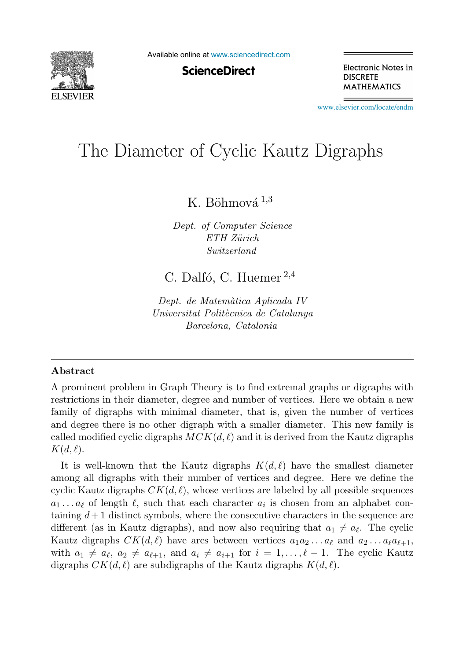

Available online at [www.sciencedirect.com](http://www.sciencedirect.com)

**ScienceDirect** 

Electronic Notes in **DISCRETE MATHEMATICS** 

[www.elsevier.com/locate/endm](http://www.elsevier.com/locate/endm)

# The Diameter of Cyclic Kautz Digraphs

K. Böhmová  $^{1,3}$ 

Dept. of Computer Science  $ETH$   $Zürich$ Switzerland

C. Dalfó, C. Huemer  $2,4$ 

Dept. de Matemàtica Aplicada IV Universitat Politècnica de Catalunya Barcelona, Catalonia

#### **Abstract**

A prominent problem in Graph Theory is to find extremal graphs or digraphs with restrictions in their diameter, degree and number of vertices. Here we obtain a new family of digraphs with minimal diameter, that is, given the number of vertices and degree there is no other digraph with a smaller diameter. This new family is called modified cyclic digraphs  $MCK(d, \ell)$  and it is derived from the Kautz digraphs  $K(d, \ell)$ .

It is well-known that the Kautz digraphs  $K(d, \ell)$  have the smallest diameter among all digraphs with their number of vertices and degree. Here we define the cyclic Kautz digraphs  $CK(d, \ell)$ , whose vertices are labeled by all possible sequences  $a_1 \ldots a_\ell$  of length  $\ell$ , such that each character  $a_i$  is chosen from an alphabet containing  $d+1$  distinct symbols, where the consecutive characters in the sequence are different (as in Kautz digraphs), and now also requiring that  $a_1 \neq a_\ell$ . The cyclic Kautz digraphs  $CK(d, l)$  have arcs between vertices  $a_1 a_2 ... a_{\ell}$  and  $a_2 ... a_{\ell} a_{\ell+1}$ , with  $a_1 \neq a_{\ell}, a_2 \neq a_{\ell+1}$ , and  $a_i \neq a_{i+1}$  for  $i = 1, ..., \ell-1$ . The cyclic Kautz digraphs  $CK(d, \ell)$  are subdigraphs of the Kautz digraphs  $K(d, \ell)$ .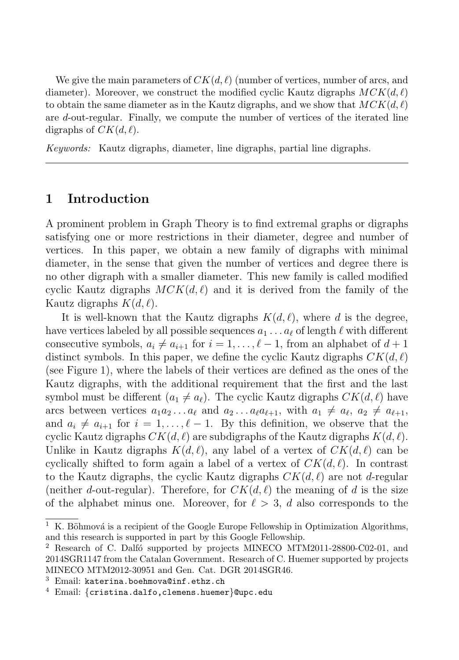We give the main parameters of  $CK(d, \ell)$  (number of vertices, number of arcs, and diameter). Moreover, we construct the modified cyclic Kautz digraphs  $MCK(d, \ell)$ to obtain the same diameter as in the Kautz digraphs, and we show that  $MCK(d, \ell)$ are d-out-regular. Finally, we compute the number of vertices of the iterated line digraphs of  $CK(d, l)$ .

Keywords: Kautz digraphs, diameter, line digraphs, partial line digraphs.

### **1 Introduction**

A prominent problem in Graph Theory is to find extremal graphs or digraphs satisfying one or more restrictions in their diameter, degree and number of vertices. In this paper, we obtain a new family of digraphs with minimal diameter, in the sense that given the number of vertices and degree there is no other digraph with a smaller diameter. This new family is called modified cyclic Kautz digraphs  $MCK(d, l)$  and it is derived from the family of the Kautz digraphs  $K(d, \ell)$ .

It is well-known that the Kautz digraphs  $K(d, \ell)$ , where d is the degree, have vertices labeled by all possible sequences  $a_1 \ldots a_\ell$  of length  $\ell$  with different consecutive symbols,  $a_i \neq a_{i+1}$  for  $i = 1, \ldots, \ell - 1$ , from an alphabet of  $d + 1$ distinct symbols. In this paper, we define the cyclic Kautz digraphs  $CK(d, \ell)$ (see Figure 1), where the labels of their vertices are defined as the ones of the Kautz digraphs, with the additional requirement that the first and the last symbol must be different  $(a_1 \neq a_\ell)$ . The cyclic Kautz digraphs  $CK(d, \ell)$  have arcs between vertices  $a_1 a_2 \ldots a_\ell$  and  $a_2 \ldots a_\ell a_{\ell+1}$ , with  $a_1 \neq a_\ell$ ,  $a_2 \neq a_{\ell+1}$ , and  $a_i \neq a_{i+1}$  for  $i = 1, \ldots, \ell-1$ . By this definition, we observe that the cyclic Kautz digraphs  $CK(d, \ell)$  are subdigraphs of the Kautz digraphs  $K(d, \ell)$ . Unlike in Kautz digraphs  $K(d, \ell)$ , any label of a vertex of  $CK(d, \ell)$  can be cyclically shifted to form again a label of a vertex of  $CK(d, \ell)$ . In contrast to the Kautz digraphs, the cyclic Kautz digraphs  $CK(d, \ell)$  are not d-regular (neither d-out-regular). Therefore, for  $CK(d, l)$  the meaning of d is the size of the alphabet minus one. Moreover, for  $\ell > 3$ , d also corresponds to the

<sup>&</sup>lt;sup>1</sup> K. Böhmová is a recipient of the Google Europe Fellowship in Optimization Algorithms, and this research is supported in part by this Google Fellowship.

<sup>&</sup>lt;sup>2</sup> Research of C. Dalfó supported by projects MINECO MTM2011-28800-C02-01, and 2014SGR1147 from the Catalan Government. Research of C. Huemer supported by projects MINECO MTM2012-30951 and Gen. Cat. DGR 2014SGR46.

 $3$  Email: katerina.boehmova@inf.ethz.ch

<sup>4</sup> Email: {cristina.dalfo,clemens.huemer}@upc.edu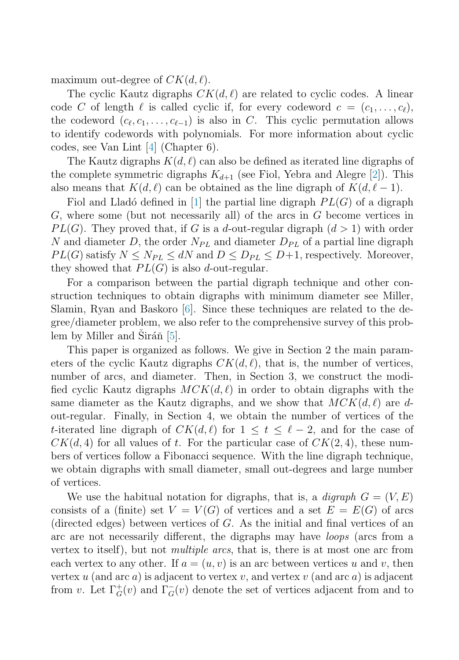maximum out-degree of  $CK(d, \ell)$ .

The cyclic Kautz digraphs  $CK(d, l)$  are related to cyclic codes. A linear code C of length  $\ell$  is called cyclic if, for every codeword  $c = (c_1, \ldots, c_\ell)$ , the codeword  $(c_{\ell}, c_1, \ldots, c_{\ell-1})$  is also in C. This cyclic permutation allows to identify codewords with polynomials. For more information about cyclic codes, see Van Lint [\[4\]](#page-7-0) (Chapter 6).

The Kautz digraphs  $K(d, \ell)$  can also be defined as iterated line digraphs of the complete symmetric digraphs  $K_{d+1}$  (see Fiol, Yebra and Alegre [\[2\]](#page-7-0)). This also means that  $K(d, \ell)$  can be obtained as the line digraph of  $K(d, \ell - 1)$ .

Fiol and Lladó defined in [\[1\]](#page-7-0) the partial line digraph  $PL(G)$  of a digraph  $G$ , where some (but not necessarily all) of the arcs in  $G$  become vertices in  $PL(G)$ . They proved that, if G is a d-out-regular digraph  $(d > 1)$  with order N and diameter D, the order  $N_{PL}$  and diameter  $D_{PL}$  of a partial line digraph  $PL(G)$  satisfy  $N \leq N_{PL} \leq dN$  and  $D \leq D_{PL} \leq D+1$ , respectively. Moreover, they showed that  $PL(G)$  is also d-out-regular.

For a comparison between the partial digraph technique and other construction techniques to obtain digraphs with minimum diameter see Miller, Slamin, Ryan and Baskoro  $[6]$ . Since these techniques are related to the degree/diameter problem, we also refer to the comprehensive survey of this problem by Miller and Sirán  $[5]$ .

This paper is organized as follows. We give in Section 2 the main parameters of the cyclic Kautz digraphs  $CK(d, l)$ , that is, the number of vertices, number of arcs, and diameter. Then, in Section 3, we construct the modified cyclic Kautz digraphs  $MCK(d, l)$  in order to obtain digraphs with the same diameter as the Kautz digraphs, and we show that  $MCK(d, \ell)$  are dout-regular. Finally, in Section 4, we obtain the number of vertices of the t-iterated line digraph of  $CK(d, \ell)$  for  $1 \leq t \leq \ell - 2$ , and for the case of  $CK(d, 4)$  for all values of t. For the particular case of  $CK(2, 4)$ , these numbers of vertices follow a Fibonacci sequence. With the line digraph technique, we obtain digraphs with small diameter, small out-degrees and large number of vertices.

We use the habitual notation for digraphs, that is, a *digraph*  $G = (V, E)$ consists of a (finite) set  $V = V(G)$  of vertices and a set  $E = E(G)$  of arcs (directed edges) between vertices of G. As the initial and final vertices of an arc are not necessarily different, the digraphs may have loops (arcs from a vertex to itself), but not multiple arcs, that is, there is at most one arc from each vertex to any other. If  $a = (u, v)$  is an arc between vertices u and v, then vertex  $u$  (and arc  $a$ ) is adjacent to vertex  $v$ , and vertex  $v$  (and arc  $a$ ) is adjacent from v. Let  $\Gamma_G^+(v)$  and  $\Gamma_G^-(v)$  denote the set of vertices adjacent from and to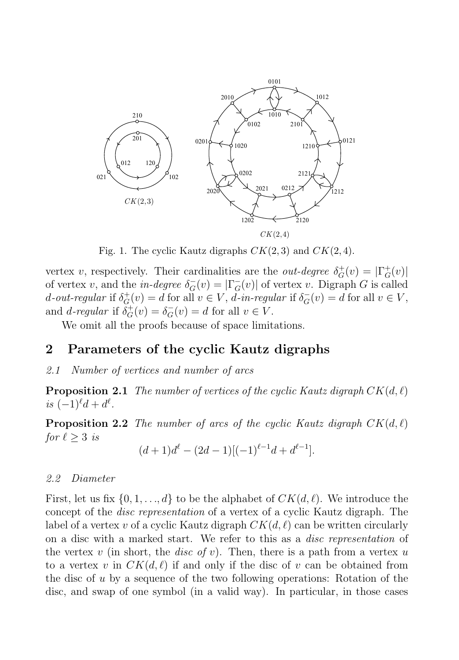

Fig. 1. The cyclic Kautz digraphs  $CK(2,3)$  and  $CK(2,4)$ .

vertex v, respectively. Their cardinalities are the *out-degree*  $\delta_G^+(v) = |\Gamma_G^+(v)|$ of vertex v, and the in-degree  $\delta_{\overline{G}}(v) = |\Gamma_{G}(v)|$  of vertex v. Digraph G is called d-out-regular if  $\delta_G^+(v) = d$  for all  $v \in V$ , d-in-regular if  $\delta_G^-(v) = d$  for all  $v \in V$ , and *d*-regular if  $\delta_G^+(v) = \delta_G^-(v) = d$  for all  $v \in V$ .

We omit all the proofs because of space limitations.

## **2 Parameters of the cyclic Kautz digraphs**

#### 2.1 Number of vertices and number of arcs

**Proposition 2.1** The number of vertices of the cyclic Kautz digraph  $CK(d, \ell)$ is  $(-1)^{\ell}d + d^{\ell}$ .

**Proposition 2.2** The number of arcs of the cyclic Kautz digraph  $CK(d, \ell)$ for  $\ell \geq 3$  is

$$
(d+1)d^{\ell} - (2d-1)[(-1)^{\ell-1}d + d^{\ell-1}].
$$

#### 2.2 Diameter

First, let us fix  $\{0, 1, ..., d\}$  to be the alphabet of  $CK(d, \ell)$ . We introduce the concept of the disc representation of a vertex of a cyclic Kautz digraph. The label of a vertex v of a cyclic Kautz digraph  $CK(d, \ell)$  can be written circularly on a disc with a marked start. We refer to this as a disc representation of the vertex v (in short, the *disc of v*). Then, there is a path from a vertex u to a vertex v in  $CK(d, \ell)$  if and only if the disc of v can be obtained from the disc of u by a sequence of the two following operations: Rotation of the disc, and swap of one symbol (in a valid way). In particular, in those cases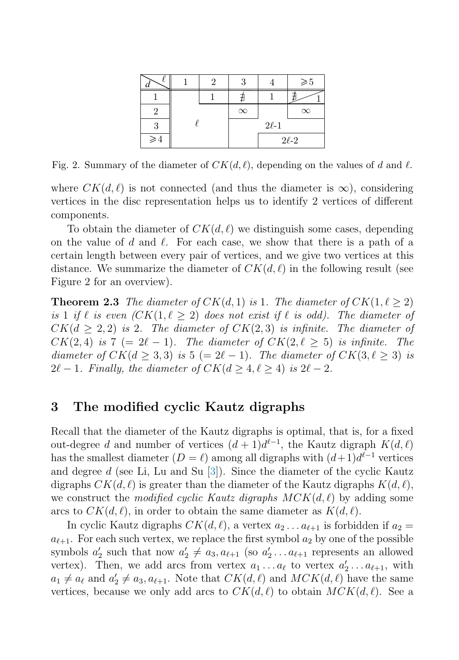|                |  | າ | Q           |  | $\geqslant\!5$ |
|----------------|--|---|-------------|--|----------------|
|                |  |   |             |  |                |
|                |  |   | $\infty$    |  | $\infty$       |
| 3              |  |   | $2\ell-1$   |  |                |
| ${\geqslant}4$ |  |   | $2\ell - 2$ |  |                |

Fig. 2. Summary of the diameter of  $CK(d, \ell)$ , depending on the values of d and  $\ell$ .

where  $CK(d, \ell)$  is not connected (and thus the diameter is  $\infty$ ), considering vertices in the disc representation helps us to identify 2 vertices of different components.

To obtain the diameter of  $CK(d, l)$  we distinguish some cases, depending on the value of  $d$  and  $\ell$ . For each case, we show that there is a path of a certain length between every pair of vertices, and we give two vertices at this distance. We summarize the diameter of  $CK(d, \ell)$  in the following result (see Figure 2 for an overview).

**Theorem 2.3** The diameter of  $CK(d, 1)$  is 1. The diameter of  $CK(1, \ell \geq 2)$ is 1 if  $\ell$  is even  $(CK(1, \ell \geq 2)$  does not exist if  $\ell$  is odd). The diameter of  $CK(d \geq 2, 2)$  is 2. The diameter of  $CK(2, 3)$  is infinite. The diameter of  $CK(2, 4)$  is  $7 (= 2\ell - 1)$ . The diameter of  $CK(2, \ell \geq 5)$  is infinite. The diameter of  $CK(d \geq 3,3)$  is  $5 (= 2\ell - 1)$ . The diameter of  $CK(3, \ell \geq 3)$  is  $2\ell - 1$ . Finally, the diameter of  $CK(d \ge 4, \ell \ge 4)$  is  $2\ell - 2$ .

## **3 The modified cyclic Kautz digraphs**

Recall that the diameter of the Kautz digraphs is optimal, that is, for a fixed out-degree d and number of vertices  $(d+1)d^{\ell-1}$ , the Kautz digraph  $K(d,\ell)$ has the smallest diameter  $(D = \ell)$  among all digraphs with  $(d+1)d^{\ell-1}$  vertices and degree d (see Li, Lu and Su  $[3]$ ). Since the diameter of the cyclic Kautz digraphs  $CK(d, \ell)$  is greater than the diameter of the Kautz digraphs  $K(d, \ell)$ , we construct the *modified cyclic Kautz digraphs*  $MCK(d, \ell)$  by adding some arcs to  $CK(d, \ell)$ , in order to obtain the same diameter as  $K(d, \ell)$ .

In cyclic Kautz digraphs  $CK(d, l)$ , a vertex  $a_2 \ldots a_{l+1}$  is forbidden if  $a_2 =$  $a_{\ell+1}$ . For each such vertex, we replace the first symbol  $a_2$  by one of the possible symbols  $a'_2$  such that now  $a'_2 \neq a_3, a_{\ell+1}$  (so  $a'_2 \ldots a_{\ell+1}$  represents an allowed vertex). Then, we add arcs from vertex  $a_1 \dots a_\ell$  to vertex  $a'_2 \dots a_{\ell+1}$ , with  $a_1 \neq a_\ell$  and  $a_2' \neq a_3, a_{\ell+1}$ . Note that  $CK(d, \ell)$  and  $MCK(d, \ell)$  have the same vertices, because we only add arcs to  $CK(d, \ell)$  to obtain  $MCK(d, \ell)$ . See a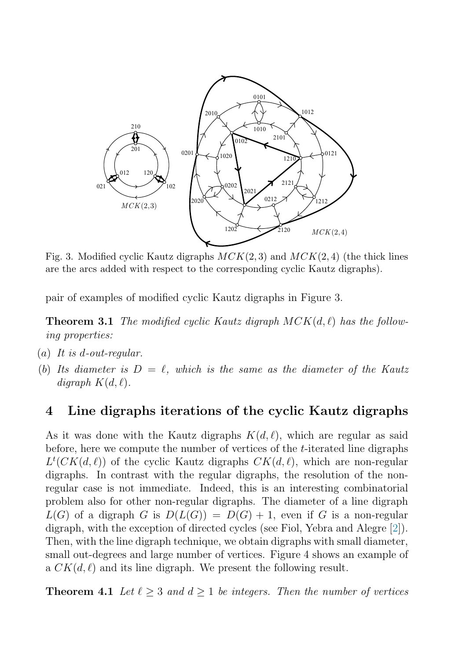

Fig. 3. Modified cyclic Kautz digraphs  $MCK(2, 3)$  and  $MCK(2, 4)$  (the thick lines are the arcs added with respect to the corresponding cyclic Kautz digraphs).

pair of examples of modified cyclic Kautz digraphs in Figure 3.

**Theorem 3.1** The modified cyclic Kautz digraph  $MCK(d, \ell)$  has the following properties:

- $(a)$  It is d-out-regular.
- (b) Its diameter is  $D = \ell$ , which is the same as the diameter of the Kautz digraph  $K(d, \ell)$ .

## **4 Line digraphs iterations of the cyclic Kautz digraphs**

As it was done with the Kautz digraphs  $K(d, \ell)$ , which are regular as said before, here we compute the number of vertices of the t-iterated line digraphs  $L^t(CK(d,\ell))$  of the cyclic Kautz digraphs  $CK(d,\ell)$ , which are non-regular digraphs. In contrast with the regular digraphs, the resolution of the nonregular case is not immediate. Indeed, this is an interesting combinatorial problem also for other non-regular digraphs. The diameter of a line digraph  $L(G)$  of a digraph G is  $D(L(G)) = D(G) + 1$ , even if G is a non-regular digraph, with the exception of directed cycles (see Fiol, Yebra and Alegre [\[2\]](#page-7-0)). Then, with the line digraph technique, we obtain digraphs with small diameter, small out-degrees and large number of vertices. Figure 4 shows an example of a  $CK(d, l)$  and its line digraph. We present the following result.

**Theorem 4.1** Let  $\ell \geq 3$  and  $d \geq 1$  be integers. Then the number of vertices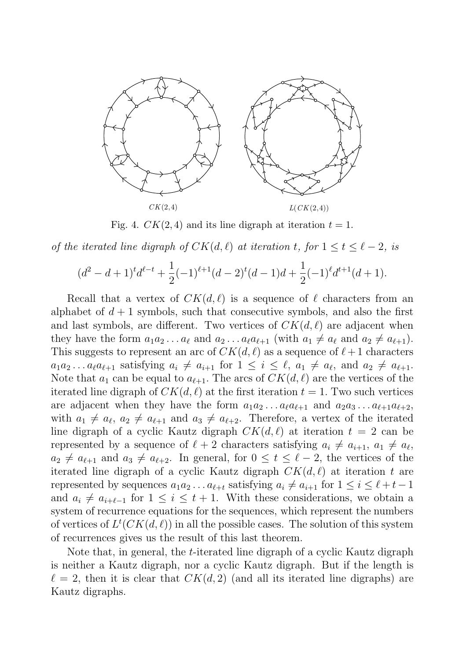

Fig. 4.  $CK(2, 4)$  and its line digraph at iteration  $t = 1$ .

of the iterated line digraph of  $CK(d, \ell)$  at iteration t, for  $1 \le t \le \ell - 2$ , is

$$
(d^{2} - d + 1)^{t}d^{\ell-t} + \frac{1}{2}(-1)^{\ell+1}(d-2)^{t}(d-1)d + \frac{1}{2}(-1)^{\ell}d^{t+1}(d+1).
$$

Recall that a vertex of  $CK(d, \ell)$  is a sequence of  $\ell$  characters from an alphabet of  $d+1$  symbols, such that consecutive symbols, and also the first and last symbols, are different. Two vertices of  $CK(d, \ell)$  are adjacent when they have the form  $a_1 a_2 \ldots a_\ell$  and  $a_2 \ldots a_\ell a_{\ell+1}$  (with  $a_1 \neq a_\ell$  and  $a_2 \neq a_{\ell+1}$ ). This suggests to represent an arc of  $CK(d, \ell)$  as a sequence of  $\ell + 1$  characters  $a_1 a_2 \dots a_\ell a_{\ell+1}$  satisfying  $a_i \neq a_{i+1}$  for  $1 \leq i \leq \ell$ ,  $a_1 \neq a_\ell$ , and  $a_2 \neq a_{\ell+1}$ . Note that  $a_1$  can be equal to  $a_{\ell+1}$ . The arcs of  $CK(d, \ell)$  are the vertices of the iterated line digraph of  $CK(d, \ell)$  at the first iteration  $t = 1$ . Two such vertices are adjacent when they have the form  $a_1 a_2 \dots a_\ell a_{\ell+1}$  and  $a_2 a_3 \dots a_{\ell+1} a_{\ell+2}$ , with  $a_1 \neq a_{\ell}, a_2 \neq a_{\ell+1}$  and  $a_3 \neq a_{\ell+2}$ . Therefore, a vertex of the iterated line digraph of a cyclic Kautz digraph  $CK(d, \ell)$  at iteration  $t = 2$  can be represented by a sequence of  $\ell + 2$  characters satisfying  $a_i \neq a_{i+1}, a_1 \neq a_{\ell}$ ,  $a_2 \neq a_{\ell+1}$  and  $a_3 \neq a_{\ell+2}$ . In general, for  $0 \leq t \leq \ell-2$ , the vertices of the iterated line digraph of a cyclic Kautz digraph  $CK(d, l)$  at iteration t are represented by sequences  $a_1 a_2 \dots a_{\ell+t}$  satisfying  $a_i \neq a_{i+1}$  for  $1 \leq i \leq \ell+t-1$ and  $a_i \neq a_{i+\ell-1}$  for  $1 \leq i \leq t+1$ . With these considerations, we obtain a system of recurrence equations for the sequences, which represent the numbers of vertices of  $L^t(CK(d, \ell))$  in all the possible cases. The solution of this system of recurrences gives us the result of this last theorem.

Note that, in general, the t-iterated line digraph of a cyclic Kautz digraph is neither a Kautz digraph, nor a cyclic Kautz digraph. But if the length is  $\ell = 2$ , then it is clear that  $CK(d, 2)$  (and all its iterated line digraphs) are Kautz digraphs.